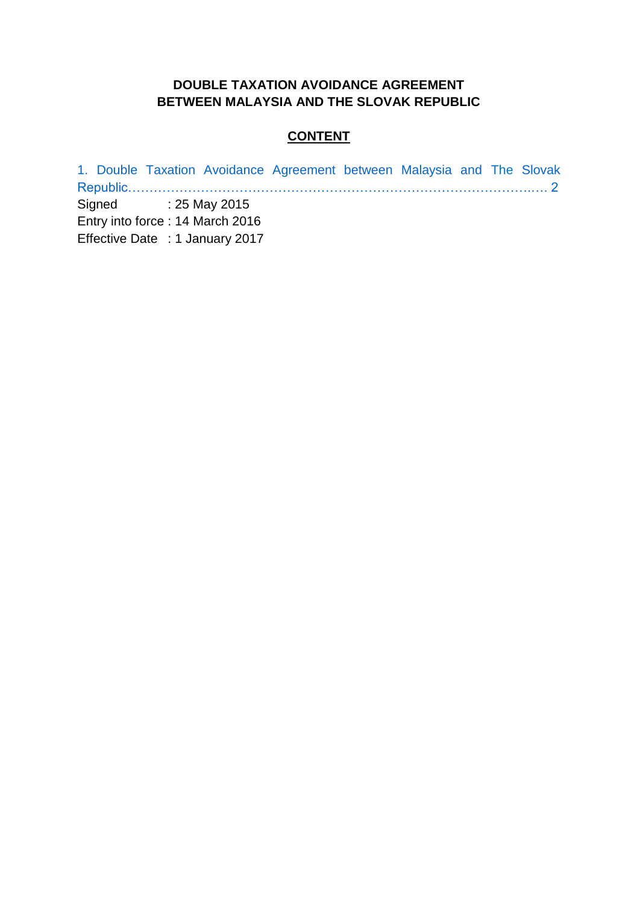## **DOUBLE TAXATION AVOIDANCE AGREEMENT BETWEEN MALAYSIA AND THE SLOVAK REPUBLIC**

#### **CONTENT**

[1. Double Taxation Avoidance Agreement between Malaysia and The](#page-1-0) Slovak [Republic………………………………………………………………………………….…. 2](#page-1-0)

Signed : 25 May 2015 Entry into force : 14 March 2016

Effective Date : 1 January 2017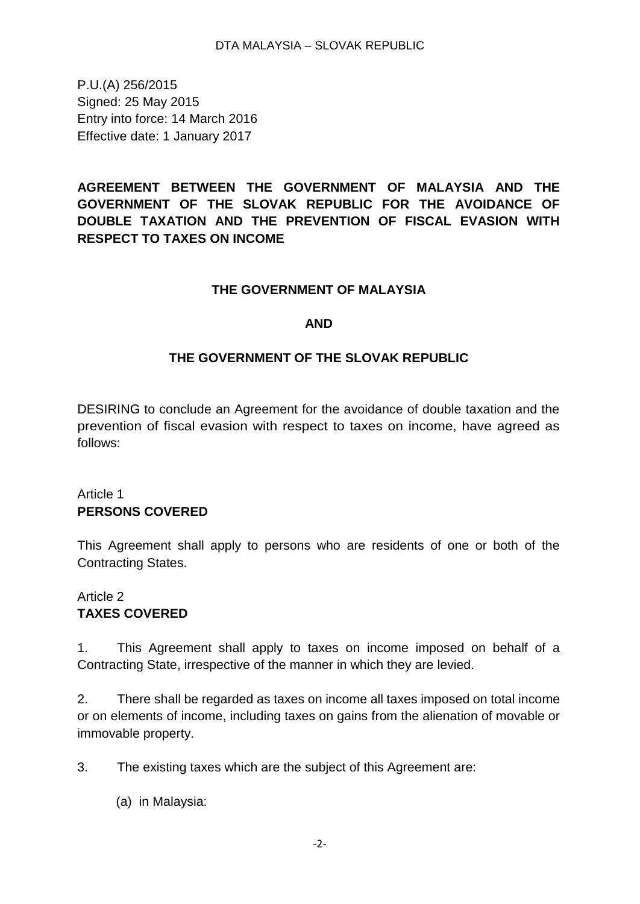<span id="page-1-0"></span>P.U.(A) 256/2015 Signed: 25 May 2015 Entry into force: 14 March 2016 Effective date: 1 January 2017

**AGREEMENT BETWEEN THE GOVERNMENT OF MALAYSIA AND THE GOVERNMENT OF THE SLOVAK REPUBLIC FOR THE AVOIDANCE OF DOUBLE TAXATION AND THE PREVENTION OF FISCAL EVASION WITH RESPECT TO TAXES ON INCOME** 

#### **THE GOVERNMENT OF MALAYSIA**

#### **AND**

#### **THE GOVERNMENT OF THE SLOVAK REPUBLIC**

DESIRING to conclude an Agreement for the avoidance of double taxation and the prevention of fiscal evasion with respect to taxes on income, have agreed as follows:

### Article 1 **PERSONS COVERED**

This Agreement shall apply to persons who are residents of one or both of the Contracting States.

### Article 2 **TAXES COVERED**

1. This Agreement shall apply to taxes on income imposed on behalf of a Contracting State, irrespective of the manner in which they are levied.

2. There shall be regarded as taxes on income all taxes imposed on total income or on elements of income, including taxes on gains from the alienation of movable or immovable property.

3. The existing taxes which are the subject of this Agreement are:

(a) in Malaysia: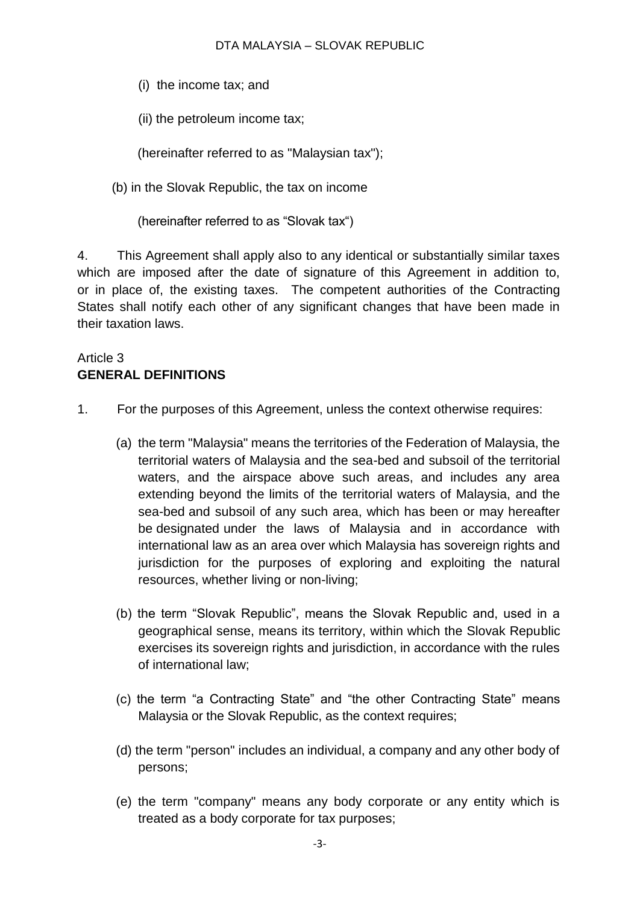(i) the income tax; and

(ii) the petroleum income tax;

(hereinafter referred to as "Malaysian tax");

(b) in the Slovak Republic, the tax on income

(hereinafter referred to as "Slovak tax")

4. This Agreement shall apply also to any identical or substantially similar taxes which are imposed after the date of signature of this Agreement in addition to, or in place of, the existing taxes. The competent authorities of the Contracting States shall notify each other of any significant changes that have been made in their taxation laws.

# Article 3 **GENERAL DEFINITIONS**

- 1. For the purposes of this Agreement, unless the context otherwise requires:
	- (a) the term "Malaysia" means the territories of the Federation of Malaysia, the territorial waters of Malaysia and the sea-bed and subsoil of the territorial waters, and the airspace above such areas, and includes any area extending beyond the limits of the territorial waters of Malaysia, and the sea-bed and subsoil of any such area, which has been or may hereafter be designated under the laws of Malaysia and in accordance with international law as an area over which Malaysia has sovereign rights and jurisdiction for the purposes of exploring and exploiting the natural resources, whether living or non-living;
	- (b) the term "Slovak Republic", means the Slovak Republic and, used in a geographical sense, means its territory, within which the Slovak Republic exercises its sovereign rights and jurisdiction, in accordance with the rules of international law;
	- (c) the term "a Contracting State" and "the other Contracting State" means Malaysia or the Slovak Republic, as the context requires;
	- (d) the term "person" includes an individual, a company and any other body of persons;
	- (e) the term "company" means any body corporate or any entity which is treated as a body corporate for tax purposes;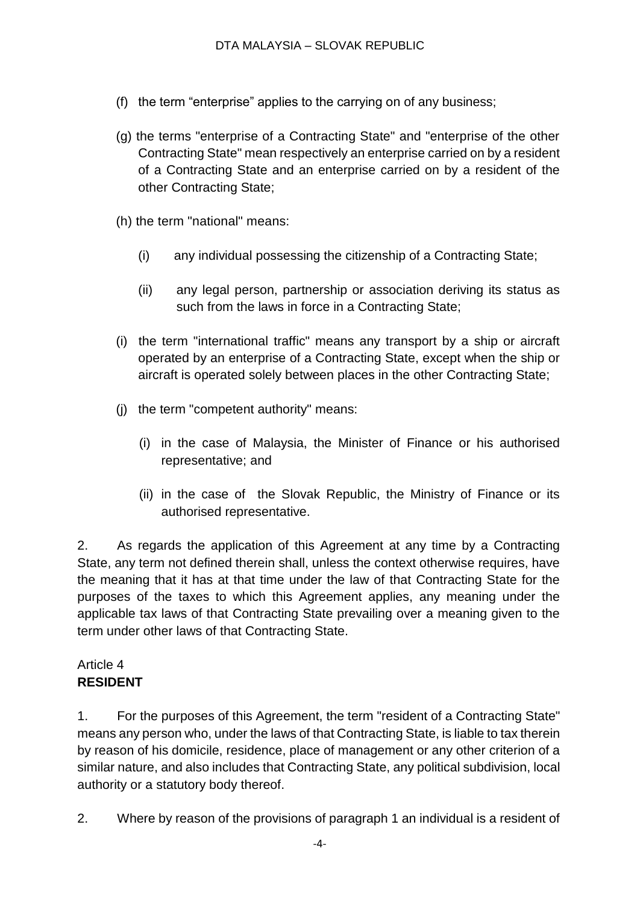- (f) the term "enterprise" applies to the carrying on of any business;
- (g) the terms "enterprise of a Contracting State" and "enterprise of the other Contracting State" mean respectively an enterprise carried on by a resident of a Contracting State and an enterprise carried on by a resident of the other Contracting State;
- (h) the term "national" means:
	- (i) any individual possessing the citizenship of a Contracting State;
	- (ii) any legal person, partnership or association deriving its status as such from the laws in force in a Contracting State;
- (i) the term "international traffic" means any transport by a ship or aircraft operated by an enterprise of a Contracting State, except when the ship or aircraft is operated solely between places in the other Contracting State;
- (j) the term "competent authority" means:
	- (i) in the case of Malaysia, the Minister of Finance or his authorised representative; and
	- (ii) in the case of the Slovak Republic, the Ministry of Finance or its authorised representative.

2. As regards the application of this Agreement at any time by a Contracting State, any term not defined therein shall, unless the context otherwise requires, have the meaning that it has at that time under the law of that Contracting State for the purposes of the taxes to which this Agreement applies, any meaning under the applicable tax laws of that Contracting State prevailing over a meaning given to the term under other laws of that Contracting State.

### Article 4 **RESIDENT**

1. For the purposes of this Agreement, the term "resident of a Contracting State" means any person who, under the laws of that Contracting State, is liable to tax therein by reason of his domicile, residence, place of management or any other criterion of a similar nature, and also includes that Contracting State, any political subdivision, local authority or a statutory body thereof.

2. Where by reason of the provisions of paragraph 1 an individual is a resident of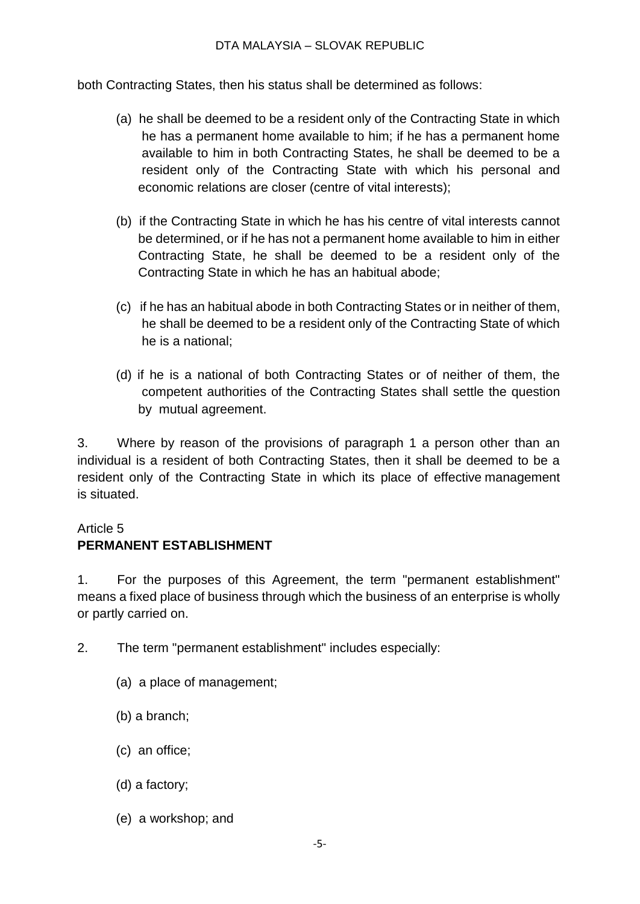both Contracting States, then his status shall be determined as follows:

- (a) he shall be deemed to be a resident only of the Contracting State in which he has a permanent home available to him; if he has a permanent home available to him in both Contracting States, he shall be deemed to be a resident only of the Contracting State with which his personal and economic relations are closer (centre of vital interests);
- (b) if the Contracting State in which he has his centre of vital interests cannot be determined, or if he has not a permanent home available to him in either Contracting State, he shall be deemed to be a resident only of the Contracting State in which he has an habitual abode;
- (c) if he has an habitual abode in both Contracting States or in neither of them, he shall be deemed to be a resident only of the Contracting State of which he is a national;
- (d) if he is a national of both Contracting States or of neither of them, the competent authorities of the Contracting States shall settle the question by mutual agreement.

3. Where by reason of the provisions of paragraph 1 a person other than an individual is a resident of both Contracting States, then it shall be deemed to be a resident only of the Contracting State in which its place of effective management is situated.

### Article 5

### **PERMANENT ESTABLISHMENT**

1. For the purposes of this Agreement, the term "permanent establishment" means a fixed place of business through which the business of an enterprise is wholly or partly carried on.

- 2. The term "permanent establishment" includes especially:
	- (a) a place of management;
	- (b) a branch;
	- (c) an office;
	- (d) a factory;
	- (e) a workshop; and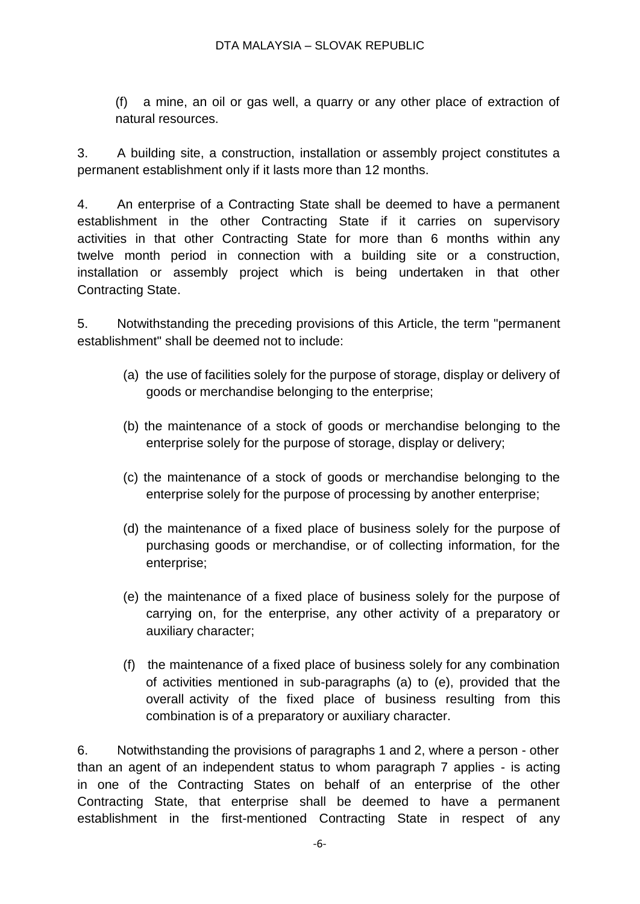(f) a mine, an oil or gas well, a quarry or any other place of extraction of natural resources.

3. A building site, a construction, installation or assembly project constitutes a permanent establishment only if it lasts more than 12 months.

4. An enterprise of a Contracting State shall be deemed to have a permanent establishment in the other Contracting State if it carries on supervisory activities in that other Contracting State for more than 6 months within any twelve month period in connection with a building site or a construction, installation or assembly project which is being undertaken in that other Contracting State.

5. Notwithstanding the preceding provisions of this Article, the term "permanent establishment" shall be deemed not to include:

- (a) the use of facilities solely for the purpose of storage, display or delivery of goods or merchandise belonging to the enterprise;
- (b) the maintenance of a stock of goods or merchandise belonging to the enterprise solely for the purpose of storage, display or delivery;
- (c) the maintenance of a stock of goods or merchandise belonging to the enterprise solely for the purpose of processing by another enterprise;
- (d) the maintenance of a fixed place of business solely for the purpose of purchasing goods or merchandise, or of collecting information, for the enterprise;
- (e) the maintenance of a fixed place of business solely for the purpose of carrying on, for the enterprise, any other activity of a preparatory or auxiliary character;
- (f) the maintenance of a fixed place of business solely for any combination of activities mentioned in sub-paragraphs (a) to (e), provided that the overall activity of the fixed place of business resulting from this combination is of a preparatory or auxiliary character.

6. Notwithstanding the provisions of paragraphs 1 and 2, where a person - other than an agent of an independent status to whom paragraph 7 applies - is acting in one of the Contracting States on behalf of an enterprise of the other Contracting State, that enterprise shall be deemed to have a permanent establishment in the first-mentioned Contracting State in respect of any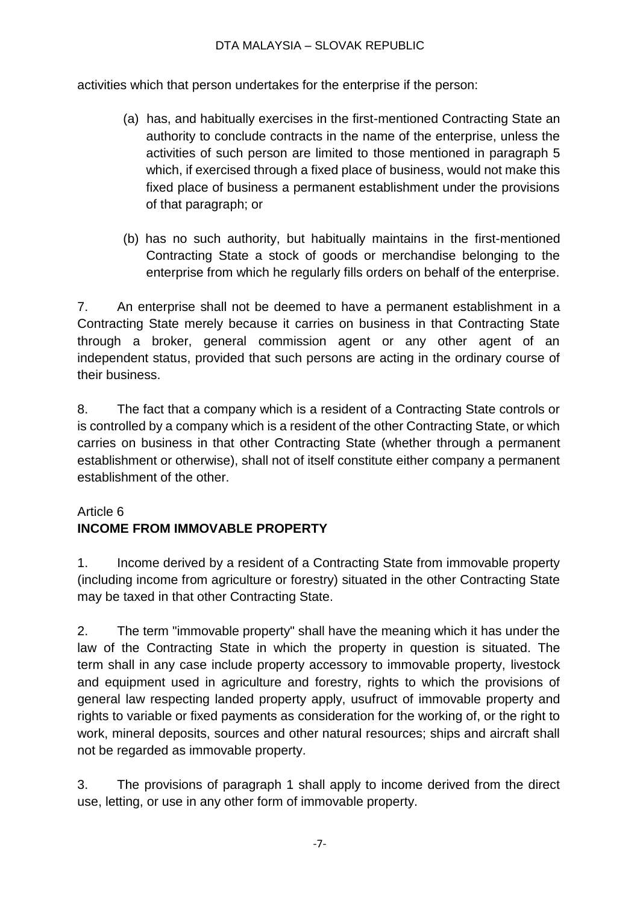activities which that person undertakes for the enterprise if the person:

- (a) has, and habitually exercises in the first-mentioned Contracting State an authority to conclude contracts in the name of the enterprise, unless the activities of such person are limited to those mentioned in paragraph 5 which, if exercised through a fixed place of business, would not make this fixed place of business a permanent establishment under the provisions of that paragraph; or
- (b) has no such authority, but habitually maintains in the first-mentioned Contracting State a stock of goods or merchandise belonging to the enterprise from which he regularly fills orders on behalf of the enterprise.

7. An enterprise shall not be deemed to have a permanent establishment in a Contracting State merely because it carries on business in that Contracting State through a broker, general commission agent or any other agent of an independent status, provided that such persons are acting in the ordinary course of their business.

8. The fact that a company which is a resident of a Contracting State controls or is controlled by a company which is a resident of the other Contracting State, or which carries on business in that other Contracting State (whether through a permanent establishment or otherwise), shall not of itself constitute either company a permanent establishment of the other.

# Article 6

# **INCOME FROM IMMOVABLE PROPERTY**

1. Income derived by a resident of a Contracting State from immovable property (including income from agriculture or forestry) situated in the other Contracting State may be taxed in that other Contracting State.

2. The term "immovable property" shall have the meaning which it has under the law of the Contracting State in which the property in question is situated. The term shall in any case include property accessory to immovable property, livestock and equipment used in agriculture and forestry, rights to which the provisions of general law respecting landed property apply, usufruct of immovable property and rights to variable or fixed payments as consideration for the working of, or the right to work, mineral deposits, sources and other natural resources; ships and aircraft shall not be regarded as immovable property.

3. The provisions of paragraph 1 shall apply to income derived from the direct use, letting, or use in any other form of immovable property.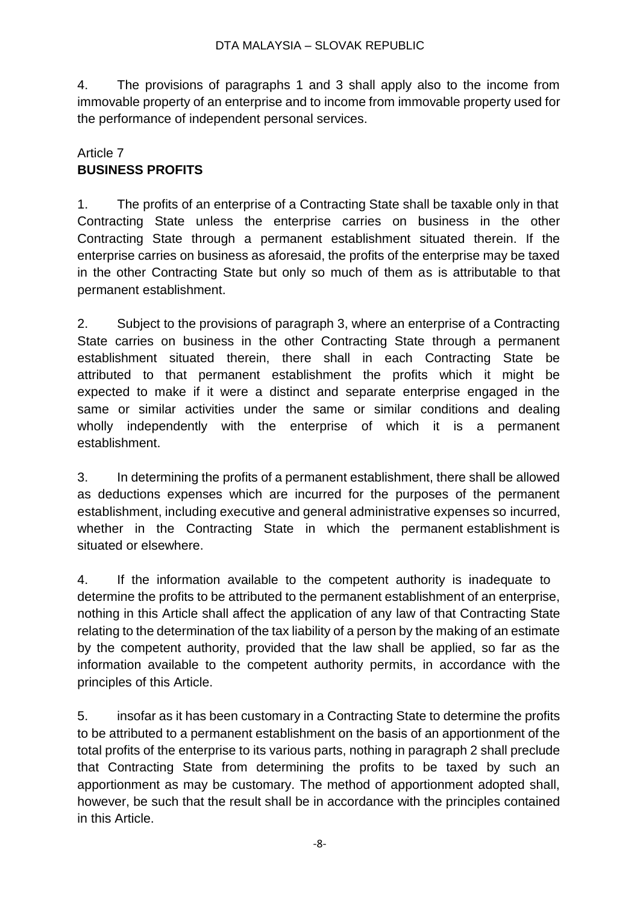4. The provisions of paragraphs 1 and 3 shall apply also to the income from immovable property of an enterprise and to income from immovable property used for the performance of independent personal services.

## Article 7 **BUSINESS PROFITS**

1. The profits of an enterprise of a Contracting State shall be taxable only in that Contracting State unless the enterprise carries on business in the other Contracting State through a permanent establishment situated therein. If the enterprise carries on business as aforesaid, the profits of the enterprise may be taxed in the other Contracting State but only so much of them as is attributable to that permanent establishment.

2. Subject to the provisions of paragraph 3, where an enterprise of a Contracting State carries on business in the other Contracting State through a permanent establishment situated therein, there shall in each Contracting State be attributed to that permanent establishment the profits which it might be expected to make if it were a distinct and separate enterprise engaged in the same or similar activities under the same or similar conditions and dealing wholly independently with the enterprise of which it is a permanent establishment.

3. In determining the profits of a permanent establishment, there shall be allowed as deductions expenses which are incurred for the purposes of the permanent establishment, including executive and general administrative expenses so incurred, whether in the Contracting State in which the permanent establishment is situated or elsewhere.

4. If the information available to the competent authority is inadequate to determine the profits to be attributed to the permanent establishment of an enterprise, nothing in this Article shall affect the application of any law of that Contracting State relating to the determination of the tax liability of a person by the making of an estimate by the competent authority, provided that the law shall be applied, so far as the information available to the competent authority permits, in accordance with the principles of this Article.

5. insofar as it has been customary in a Contracting State to determine the profits to be attributed to a permanent establishment on the basis of an apportionment of the total profits of the enterprise to its various parts, nothing in paragraph 2 shall preclude that Contracting State from determining the profits to be taxed by such an apportionment as may be customary. The method of apportionment adopted shall, however, be such that the result shall be in accordance with the principles contained in this Article.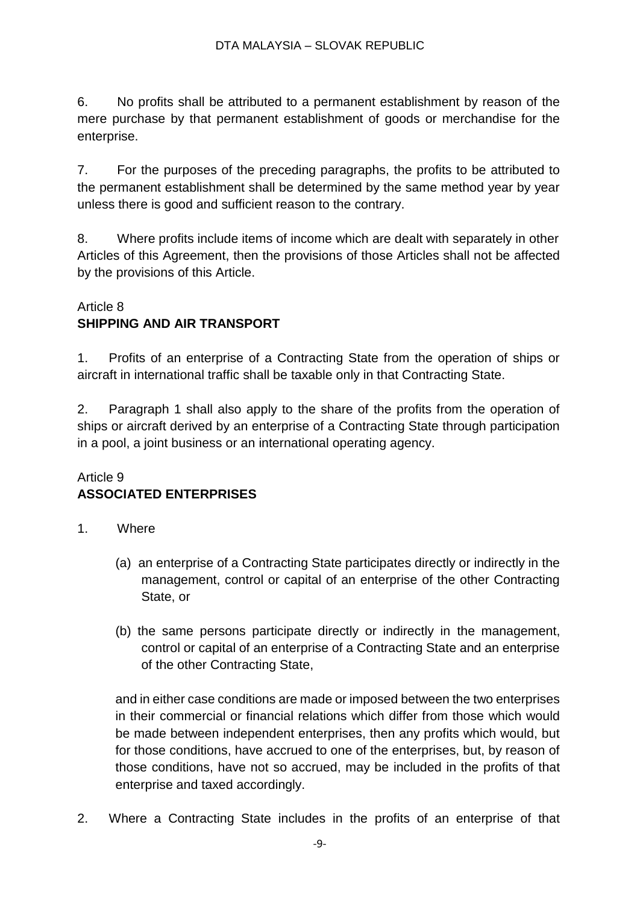6. No profits shall be attributed to a permanent establishment by reason of the mere purchase by that permanent establishment of goods or merchandise for the enterprise.

7. For the purposes of the preceding paragraphs, the profits to be attributed to the permanent establishment shall be determined by the same method year by year unless there is good and sufficient reason to the contrary.

8. Where profits include items of income which are dealt with separately in other Articles of this Agreement, then the provisions of those Articles shall not be affected by the provisions of this Article.

## Article 8 **SHIPPING AND AIR TRANSPORT**

1. Profits of an enterprise of a Contracting State from the operation of ships or aircraft in international traffic shall be taxable only in that Contracting State.

2. Paragraph 1 shall also apply to the share of the profits from the operation of ships or aircraft derived by an enterprise of a Contracting State through participation in a pool, a joint business or an international operating agency.

## Article 9 **ASSOCIATED ENTERPRISES**

- 1. Where
	- (a) an enterprise of a Contracting State participates directly or indirectly in the management, control or capital of an enterprise of the other Contracting State, or
	- (b) the same persons participate directly or indirectly in the management, control or capital of an enterprise of a Contracting State and an enterprise of the other Contracting State,

and in either case conditions are made or imposed between the two enterprises in their commercial or financial relations which differ from those which would be made between independent enterprises, then any profits which would, but for those conditions, have accrued to one of the enterprises, but, by reason of those conditions, have not so accrued, may be included in the profits of that enterprise and taxed accordingly.

2. Where a Contracting State includes in the profits of an enterprise of that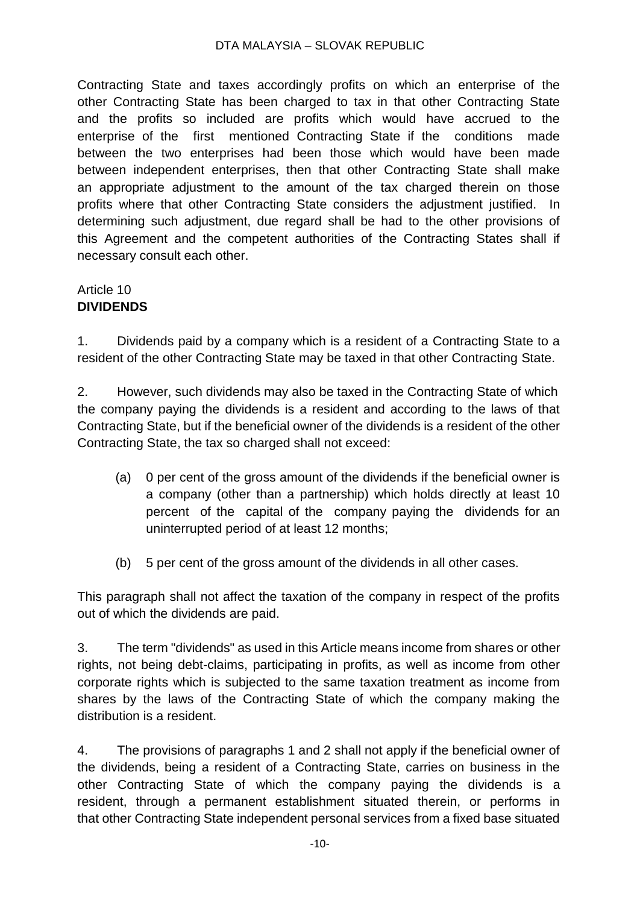#### DTA MALAYSIA – SLOVAK REPUBLIC

Contracting State and taxes accordingly profits on which an enterprise of the other Contracting State has been charged to tax in that other Contracting State and the profits so included are profits which would have accrued to the enterprise of the first mentioned Contracting State if the conditions made between the two enterprises had been those which would have been made between independent enterprises, then that other Contracting State shall make an appropriate adjustment to the amount of the tax charged therein on those profits where that other Contracting State considers the adjustment justified. In determining such adjustment, due regard shall be had to the other provisions of this Agreement and the competent authorities of the Contracting States shall if necessary consult each other.

## Article 10 **DIVIDENDS**

1. Dividends paid by a company which is a resident of a Contracting State to a resident of the other Contracting State may be taxed in that other Contracting State.

2. However, such dividends may also be taxed in the Contracting State of which the company paying the dividends is a resident and according to the laws of that Contracting State, but if the beneficial owner of the dividends is a resident of the other Contracting State, the tax so charged shall not exceed:

- (a) 0 per cent of the gross amount of the dividends if the beneficial owner is a company (other than a partnership) which holds directly at least 10 percent of the capital of the company paying the dividends for an uninterrupted period of at least 12 months;
- (b) 5 per cent of the gross amount of the dividends in all other cases.

This paragraph shall not affect the taxation of the company in respect of the profits out of which the dividends are paid.

3. The term "dividends" as used in this Article means income from shares or other rights, not being debt-claims, participating in profits, as well as income from other corporate rights which is subjected to the same taxation treatment as income from shares by the laws of the Contracting State of which the company making the distribution is a resident.

4. The provisions of paragraphs 1 and 2 shall not apply if the beneficial owner of the dividends, being a resident of a Contracting State, carries on business in the other Contracting State of which the company paying the dividends is a resident, through a permanent establishment situated therein, or performs in that other Contracting State independent personal services from a fixed base situated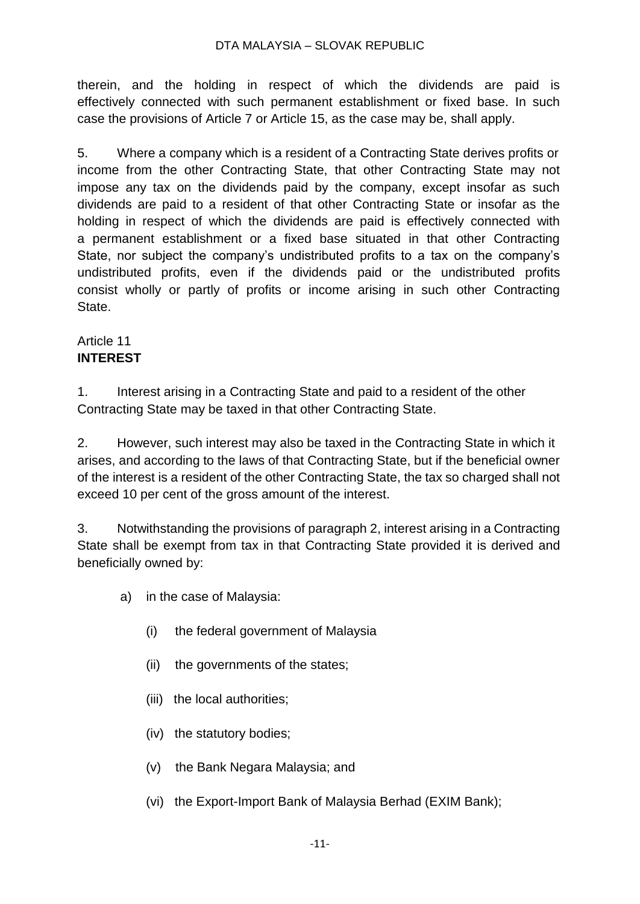#### DTA MALAYSIA – SLOVAK REPUBLIC

therein, and the holding in respect of which the dividends are paid is effectively connected with such permanent establishment or fixed base. In such case the provisions of Article 7 or Article 15, as the case may be, shall apply.

5. Where a company which is a resident of a Contracting State derives profits or income from the other Contracting State, that other Contracting State may not impose any tax on the dividends paid by the company, except insofar as such dividends are paid to a resident of that other Contracting State or insofar as the holding in respect of which the dividends are paid is effectively connected with a permanent establishment or a fixed base situated in that other Contracting State, nor subject the company's undistributed profits to a tax on the company's undistributed profits, even if the dividends paid or the undistributed profits consist wholly or partly of profits or income arising in such other Contracting State.

## Article 11 **INTEREST**

1. Interest arising in a Contracting State and paid to a resident of the other Contracting State may be taxed in that other Contracting State.

2. However, such interest may also be taxed in the Contracting State in which it arises, and according to the laws of that Contracting State, but if the beneficial owner of the interest is a resident of the other Contracting State, the tax so charged shall not exceed 10 per cent of the gross amount of the interest.

3. Notwithstanding the provisions of paragraph 2, interest arising in a Contracting State shall be exempt from tax in that Contracting State provided it is derived and beneficially owned by:

- a) in the case of Malaysia:
	- (i) the federal government of Malaysia
	- (ii) the governments of the states;
	- (iii) the local authorities;
	- (iv) the statutory bodies;
	- (v) the Bank Negara Malaysia; and
	- (vi) the Export-Import Bank of Malaysia Berhad (EXIM Bank);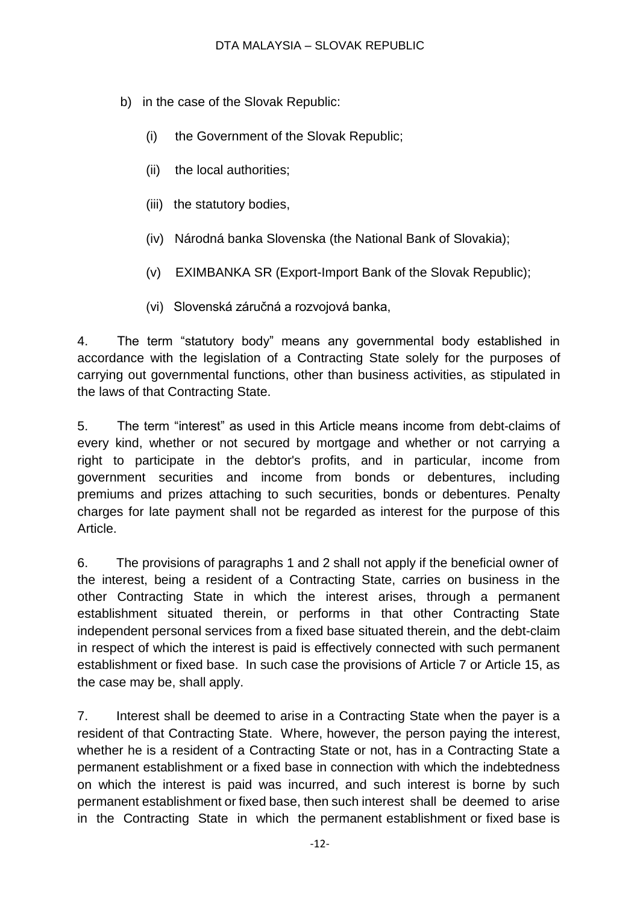- b) in the case of the Slovak Republic:
	- (i) the Government of the Slovak Republic;
	- (ii) the local authorities;
	- (iii) the statutory bodies,
	- (iv) Národná banka Slovenska (the National Bank of Slovakia);
	- (v) EXIMBANKA SR (Export-Import Bank of the Slovak Republic);
	- (vi) Slovenská záručná a rozvojová banka,

4. The term "statutory body" means any governmental body established in accordance with the legislation of a Contracting State solely for the purposes of carrying out governmental functions, other than business activities, as stipulated in the laws of that Contracting State.

5. The term "interest" as used in this Article means income from debt-claims of every kind, whether or not secured by mortgage and whether or not carrying a right to participate in the debtor's profits, and in particular, income from government securities and income from bonds or debentures, including premiums and prizes attaching to such securities, bonds or debentures. Penalty charges for late payment shall not be regarded as interest for the purpose of this Article.

6. The provisions of paragraphs 1 and 2 shall not apply if the beneficial owner of the interest, being a resident of a Contracting State, carries on business in the other Contracting State in which the interest arises, through a permanent establishment situated therein, or performs in that other Contracting State independent personal services from a fixed base situated therein, and the debt-claim in respect of which the interest is paid is effectively connected with such permanent establishment or fixed base. In such case the provisions of Article 7 or Article 15, as the case may be, shall apply.

7. Interest shall be deemed to arise in a Contracting State when the payer is a resident of that Contracting State. Where, however, the person paying the interest, whether he is a resident of a Contracting State or not, has in a Contracting State a permanent establishment or a fixed base in connection with which the indebtedness on which the interest is paid was incurred, and such interest is borne by such permanent establishment or fixed base, then such interest shall be deemed to arise in the Contracting State in which the permanent establishment or fixed base is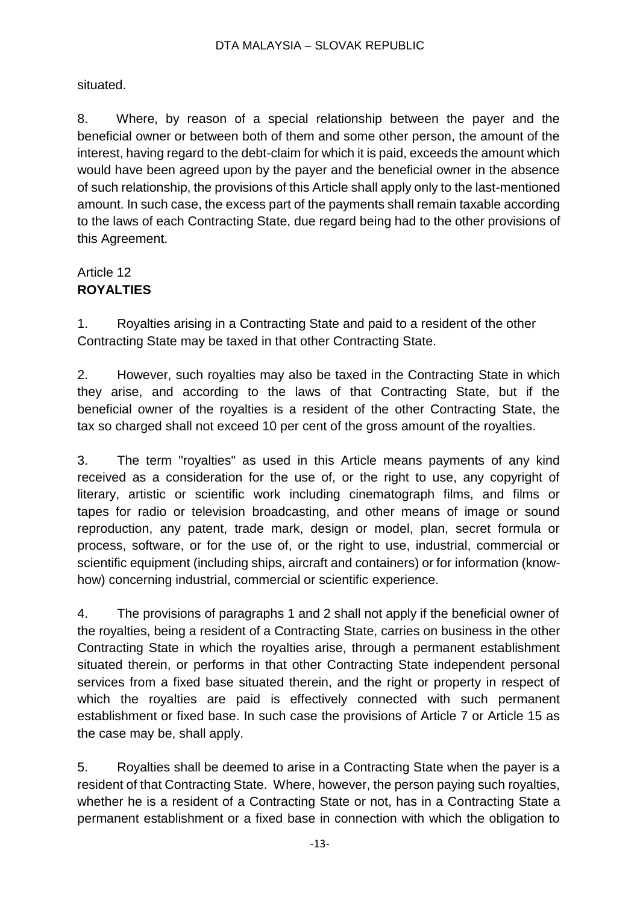situated.

8. Where, by reason of a special relationship between the payer and the beneficial owner or between both of them and some other person, the amount of the interest, having regard to the debt-claim for which it is paid, exceeds the amount which would have been agreed upon by the payer and the beneficial owner in the absence of such relationship, the provisions of this Article shall apply only to the last-mentioned amount. In such case, the excess part of the payments shall remain taxable according to the laws of each Contracting State, due regard being had to the other provisions of this Agreement.

# Article 12 **ROYALTIES**

1. Royalties arising in a Contracting State and paid to a resident of the other Contracting State may be taxed in that other Contracting State.

2. However, such royalties may also be taxed in the Contracting State in which they arise, and according to the laws of that Contracting State, but if the beneficial owner of the royalties is a resident of the other Contracting State, the tax so charged shall not exceed 10 per cent of the gross amount of the royalties.

3. The term "royalties" as used in this Article means payments of any kind received as a consideration for the use of, or the right to use, any copyright of literary, artistic or scientific work including cinematograph films, and films or tapes for radio or television broadcasting, and other means of image or sound reproduction, any patent, trade mark, design or model, plan, secret formula or process, software, or for the use of, or the right to use, industrial, commercial or scientific equipment (including ships, aircraft and containers) or for information (knowhow) concerning industrial, commercial or scientific experience.

4. The provisions of paragraphs 1 and 2 shall not apply if the beneficial owner of the royalties, being a resident of a Contracting State, carries on business in the other Contracting State in which the royalties arise, through a permanent establishment situated therein, or performs in that other Contracting State independent personal services from a fixed base situated therein, and the right or property in respect of which the royalties are paid is effectively connected with such permanent establishment or fixed base. In such case the provisions of Article 7 or Article 15 as the case may be, shall apply.

5. Royalties shall be deemed to arise in a Contracting State when the payer is a resident of that Contracting State. Where, however, the person paying such royalties, whether he is a resident of a Contracting State or not, has in a Contracting State a permanent establishment or a fixed base in connection with which the obligation to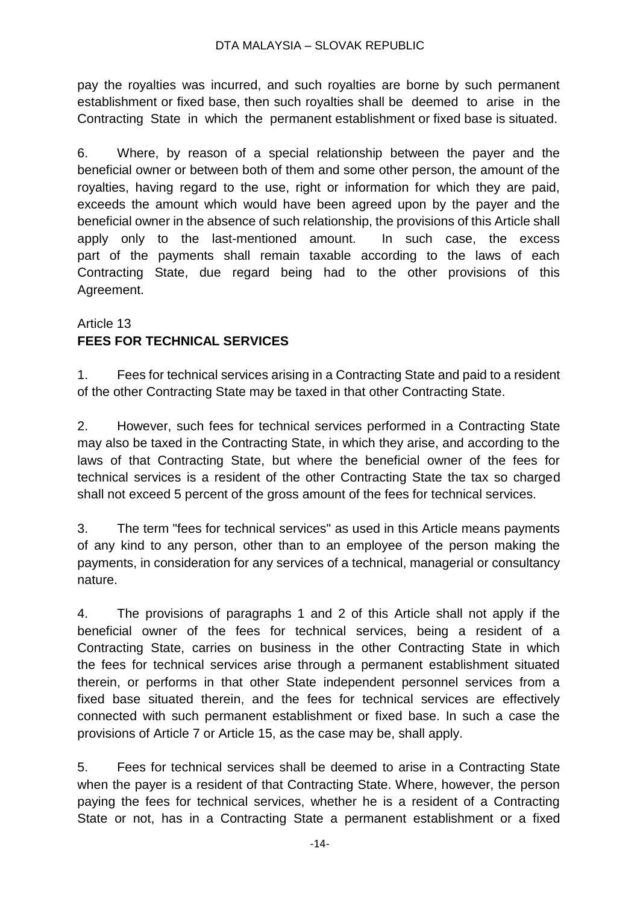pay the royalties was incurred, and such royalties are borne by such permanent establishment or fixed base, then such royalties shall be deemed to arise in the Contracting State in which the permanent establishment or fixed base is situated.

6. Where, by reason of a special relationship between the payer and the beneficial owner or between both of them and some other person, the amount of the royalties, having regard to the use, right or information for which they are paid, exceeds the amount which would have been agreed upon by the payer and the beneficial owner in the absence of such relationship, the provisions of this Article shall apply only to the last-mentioned amount. In such case, the excess part of the payments shall remain taxable according to the laws of each Contracting State, due regard being had to the other provisions of this Agreement.

# Article 13 **FEES FOR TECHNICAL SERVICES**

1. Fees for technical services arising in a Contracting State and paid to a resident of the other Contracting State may be taxed in that other Contracting State.

2. However, such fees for technical services performed in a Contracting State may also be taxed in the Contracting State, in which they arise, and according to the laws of that Contracting State, but where the beneficial owner of the fees for technical services is a resident of the other Contracting State the tax so charged shall not exceed 5 percent of the gross amount of the fees for technical services.

3. The term "fees for technical services" as used in this Article means payments of any kind to any person, other than to an employee of the person making the payments, in consideration for any services of a technical, managerial or consultancy nature.

4. The provisions of paragraphs 1 and 2 of this Article shall not apply if the beneficial owner of the fees for technical services, being a resident of a Contracting State, carries on business in the other Contracting State in which the fees for technical services arise through a permanent establishment situated therein, or performs in that other State independent personnel services from a fixed base situated therein, and the fees for technical services are effectively connected with such permanent establishment or fixed base. In such a case the provisions of Article 7 or Article 15, as the case may be, shall apply.

5. Fees for technical services shall be deemed to arise in a Contracting State when the payer is a resident of that Contracting State. Where, however, the person paying the fees for technical services, whether he is a resident of a Contracting State or not, has in a Contracting State a permanent establishment or a fixed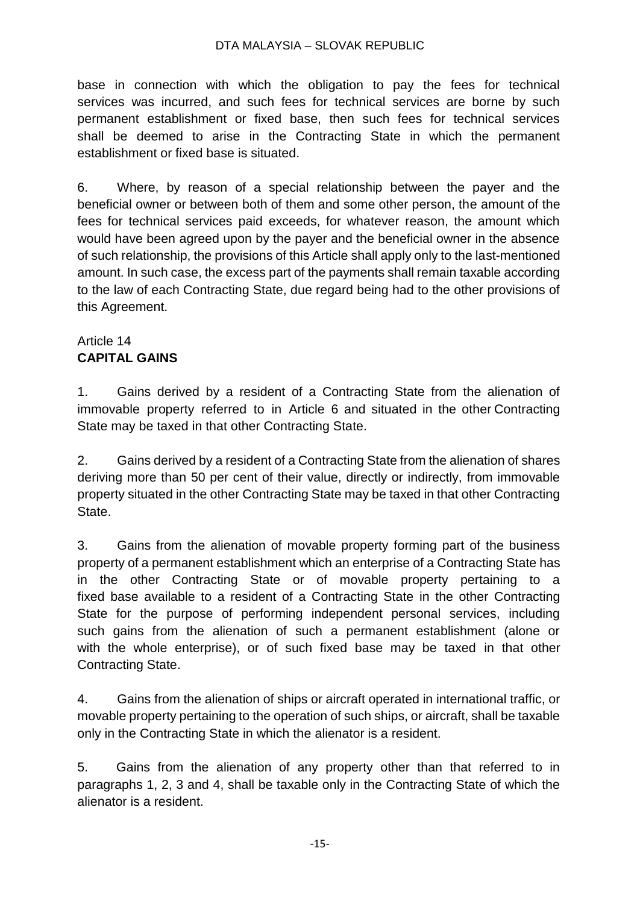#### DTA MALAYSIA – SLOVAK REPUBLIC

base in connection with which the obligation to pay the fees for technical services was incurred, and such fees for technical services are borne by such permanent establishment or fixed base, then such fees for technical services shall be deemed to arise in the Contracting State in which the permanent establishment or fixed base is situated.

6. Where, by reason of a special relationship between the payer and the beneficial owner or between both of them and some other person, the amount of the fees for technical services paid exceeds, for whatever reason, the amount which would have been agreed upon by the payer and the beneficial owner in the absence of such relationship, the provisions of this Article shall apply only to the last-mentioned amount. In such case, the excess part of the payments shall remain taxable according to the law of each Contracting State, due regard being had to the other provisions of this Agreement.

## Article 14 **CAPITAL GAINS**

1. Gains derived by a resident of a Contracting State from the alienation of immovable property referred to in Article 6 and situated in the other Contracting State may be taxed in that other Contracting State.

2. Gains derived by a resident of a Contracting State from the alienation of shares deriving more than 50 per cent of their value, directly or indirectly, from immovable property situated in the other Contracting State may be taxed in that other Contracting State.

3. Gains from the alienation of movable property forming part of the business property of a permanent establishment which an enterprise of a Contracting State has in the other Contracting State or of movable property pertaining to a fixed base available to a resident of a Contracting State in the other Contracting State for the purpose of performing independent personal services, including such gains from the alienation of such a permanent establishment (alone or with the whole enterprise), or of such fixed base may be taxed in that other Contracting State.

4. Gains from the alienation of ships or aircraft operated in international traffic, or movable property pertaining to the operation of such ships, or aircraft, shall be taxable only in the Contracting State in which the alienator is a resident.

5. Gains from the alienation of any property other than that referred to in paragraphs 1, 2, 3 and 4, shall be taxable only in the Contracting State of which the alienator is a resident.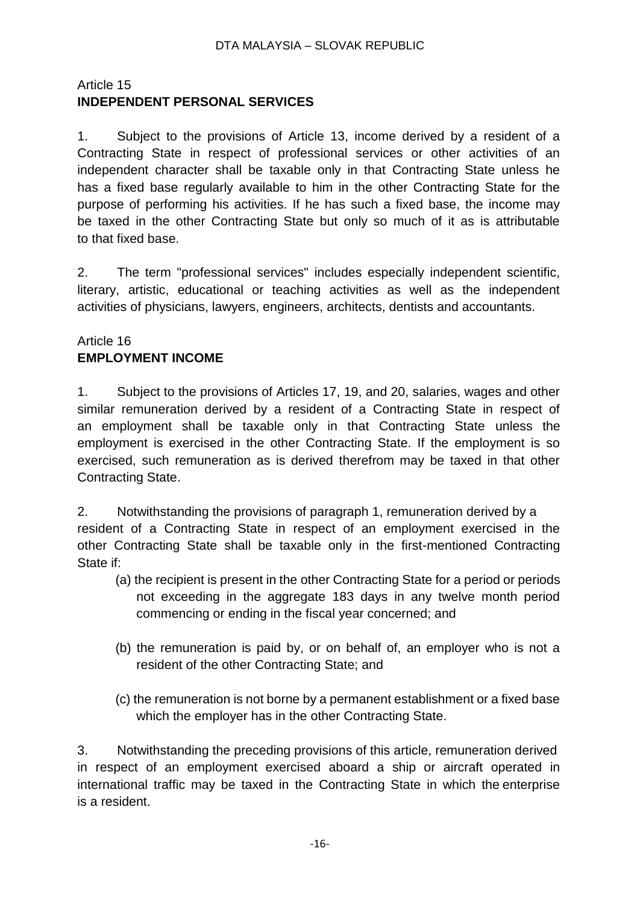## Article 15 **INDEPENDENT PERSONAL SERVICES**

1. Subject to the provisions of Article 13, income derived by a resident of a Contracting State in respect of professional services or other activities of an independent character shall be taxable only in that Contracting State unless he has a fixed base regularly available to him in the other Contracting State for the purpose of performing his activities. If he has such a fixed base, the income may be taxed in the other Contracting State but only so much of it as is attributable to that fixed base.

2. The term "professional services" includes especially independent scientific, literary, artistic, educational or teaching activities as well as the independent activities of physicians, lawyers, engineers, architects, dentists and accountants.

## Article 16 **EMPLOYMENT INCOME**

1. Subject to the provisions of Articles 17, 19, and 20, salaries, wages and other similar remuneration derived by a resident of a Contracting State in respect of an employment shall be taxable only in that Contracting State unless the employment is exercised in the other Contracting State. If the employment is so exercised, such remuneration as is derived therefrom may be taxed in that other Contracting State.

2. Notwithstanding the provisions of paragraph 1, remuneration derived by a resident of a Contracting State in respect of an employment exercised in the other Contracting State shall be taxable only in the first-mentioned Contracting State if:

- (a) the recipient is present in the other Contracting State for a period or periods not exceeding in the aggregate 183 days in any twelve month period commencing or ending in the fiscal year concerned; and
- (b) the remuneration is paid by, or on behalf of, an employer who is not a resident of the other Contracting State; and
- (c) the remuneration is not borne by a permanent establishment or a fixed base which the employer has in the other Contracting State.

3. Notwithstanding the preceding provisions of this article, remuneration derived in respect of an employment exercised aboard a ship or aircraft operated in international traffic may be taxed in the Contracting State in which the enterprise is a resident.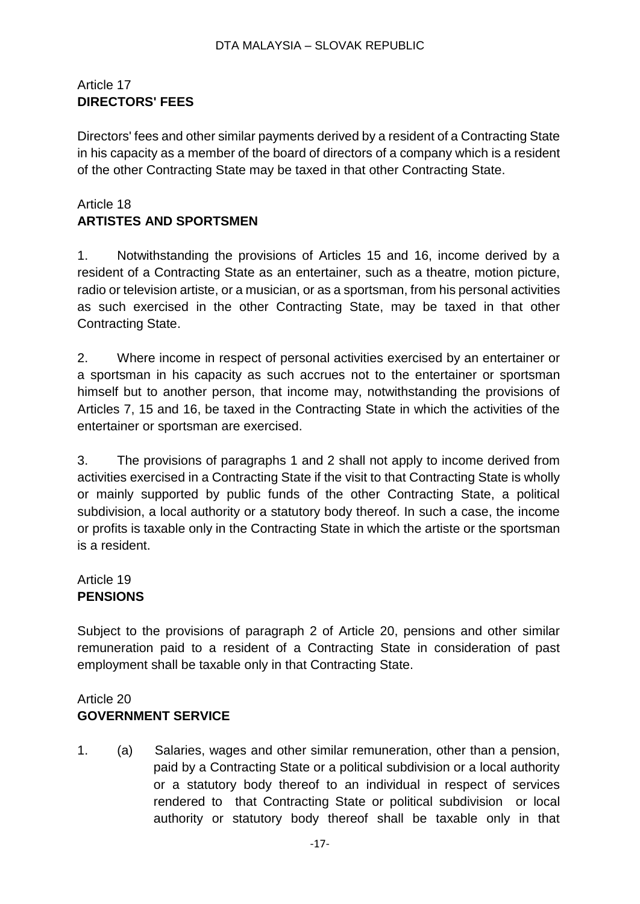## Article 17 **DIRECTORS' FEES**

Directors' fees and other similar payments derived by a resident of a Contracting State in his capacity as a member of the board of directors of a company which is a resident of the other Contracting State may be taxed in that other Contracting State.

## Article 18 **ARTISTES AND SPORTSMEN**

1. Notwithstanding the provisions of Articles 15 and 16, income derived by a resident of a Contracting State as an entertainer, such as a theatre, motion picture, radio or television artiste, or a musician, or as a sportsman, from his personal activities as such exercised in the other Contracting State, may be taxed in that other Contracting State.

2. Where income in respect of personal activities exercised by an entertainer or a sportsman in his capacity as such accrues not to the entertainer or sportsman himself but to another person, that income may, notwithstanding the provisions of Articles 7, 15 and 16, be taxed in the Contracting State in which the activities of the entertainer or sportsman are exercised.

3. The provisions of paragraphs 1 and 2 shall not apply to income derived from activities exercised in a Contracting State if the visit to that Contracting State is wholly or mainly supported by public funds of the other Contracting State, a political subdivision, a local authority or a statutory body thereof. In such a case, the income or profits is taxable only in the Contracting State in which the artiste or the sportsman is a resident.

Article 19 **PENSIONS**

Subject to the provisions of paragraph 2 of Article 20, pensions and other similar remuneration paid to a resident of a Contracting State in consideration of past employment shall be taxable only in that Contracting State.

## Article 20 **GOVERNMENT SERVICE**

1. (a) Salaries, wages and other similar remuneration, other than a pension, paid by a Contracting State or a political subdivision or a local authority or a statutory body thereof to an individual in respect of services rendered to that Contracting State or political subdivision or local authority or statutory body thereof shall be taxable only in that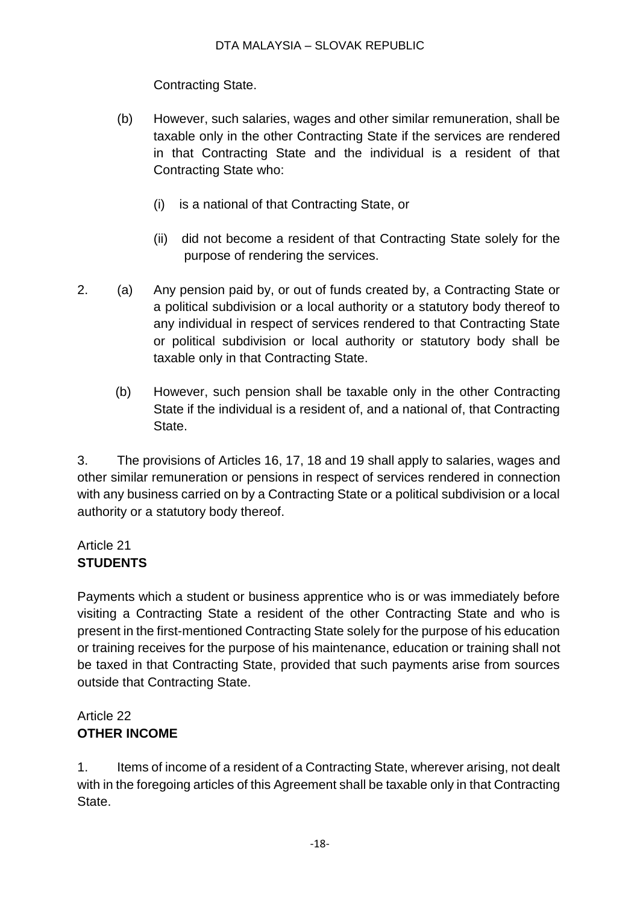Contracting State.

- (b) However, such salaries, wages and other similar remuneration, shall be taxable only in the other Contracting State if the services are rendered in that Contracting State and the individual is a resident of that Contracting State who:
	- (i) is a national of that Contracting State, or
	- (ii) did not become a resident of that Contracting State solely for the purpose of rendering the services.
- 2. (a) Any pension paid by, or out of funds created by, a Contracting State or a political subdivision or a local authority or a statutory body thereof to any individual in respect of services rendered to that Contracting State or political subdivision or local authority or statutory body shall be taxable only in that Contracting State.
	- (b) However, such pension shall be taxable only in the other Contracting State if the individual is a resident of, and a national of, that Contracting State.

3. The provisions of Articles 16, 17, 18 and 19 shall apply to salaries, wages and other similar remuneration or pensions in respect of services rendered in connection with any business carried on by a Contracting State or a political subdivision or a local authority or a statutory body thereof.

# Article 21 **STUDENTS**

Payments which a student or business apprentice who is or was immediately before visiting a Contracting State a resident of the other Contracting State and who is present in the first-mentioned Contracting State solely for the purpose of his education or training receives for the purpose of his maintenance, education or training shall not be taxed in that Contracting State, provided that such payments arise from sources outside that Contracting State.

# Article 22 **OTHER INCOME**

1. Items of income of a resident of a Contracting State, wherever arising, not dealt with in the foregoing articles of this Agreement shall be taxable only in that Contracting State.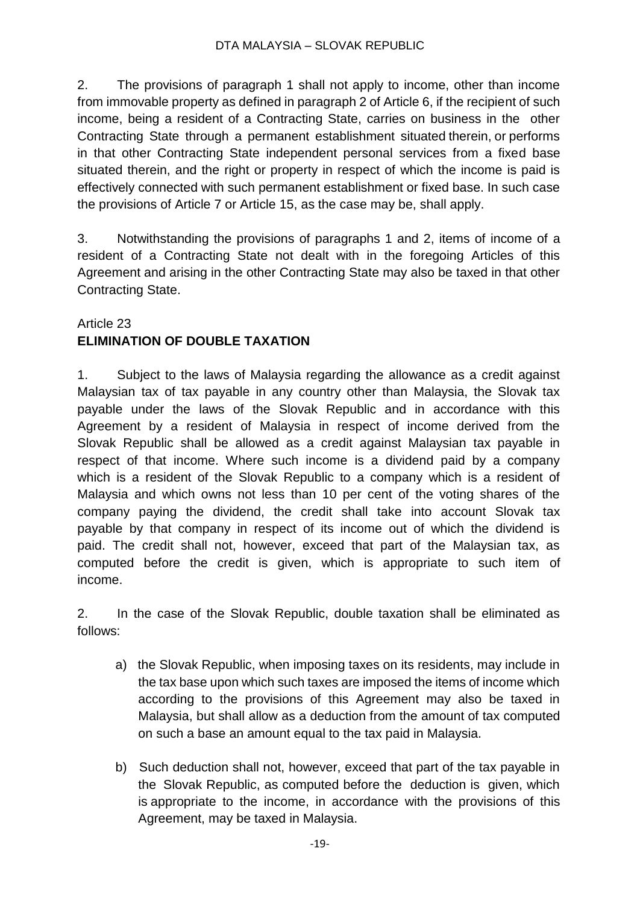2. The provisions of paragraph 1 shall not apply to income, other than income from immovable property as defined in paragraph 2 of Article 6, if the recipient of such income, being a resident of a Contracting State, carries on business in the other Contracting State through a permanent establishment situated therein, or performs in that other Contracting State independent personal services from a fixed base situated therein, and the right or property in respect of which the income is paid is effectively connected with such permanent establishment or fixed base. In such case the provisions of Article 7 or Article 15, as the case may be, shall apply.

3. Notwithstanding the provisions of paragraphs 1 and 2, items of income of a resident of a Contracting State not dealt with in the foregoing Articles of this Agreement and arising in the other Contracting State may also be taxed in that other Contracting State.

### Article 23

## **ELIMINATION OF DOUBLE TAXATION**

1. Subject to the laws of Malaysia regarding the allowance as a credit against Malaysian tax of tax payable in any country other than Malaysia, the Slovak tax payable under the laws of the Slovak Republic and in accordance with this Agreement by a resident of Malaysia in respect of income derived from the Slovak Republic shall be allowed as a credit against Malaysian tax payable in respect of that income. Where such income is a dividend paid by a company which is a resident of the Slovak Republic to a company which is a resident of Malaysia and which owns not less than 10 per cent of the voting shares of the company paying the dividend, the credit shall take into account Slovak tax payable by that company in respect of its income out of which the dividend is paid. The credit shall not, however, exceed that part of the Malaysian tax, as computed before the credit is given, which is appropriate to such item of income.

2. In the case of the Slovak Republic, double taxation shall be eliminated as follows:

- a) the Slovak Republic, when imposing taxes on its residents, may include in the tax base upon which such taxes are imposed the items of income which according to the provisions of this Agreement may also be taxed in Malaysia, but shall allow as a deduction from the amount of tax computed on such a base an amount equal to the tax paid in Malaysia.
- b) Such deduction shall not, however, exceed that part of the tax payable in the Slovak Republic, as computed before the deduction is given, which is appropriate to the income, in accordance with the provisions of this Agreement, may be taxed in Malaysia.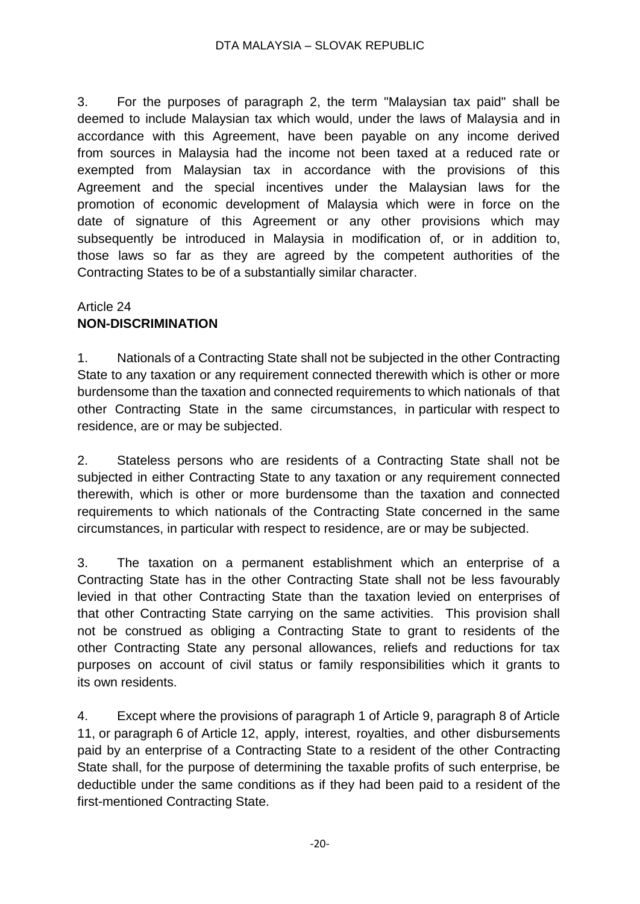3. For the purposes of paragraph 2, the term "Malaysian tax paid" shall be deemed to include Malaysian tax which would, under the laws of Malaysia and in accordance with this Agreement, have been payable on any income derived from sources in Malaysia had the income not been taxed at a reduced rate or exempted from Malaysian tax in accordance with the provisions of this Agreement and the special incentives under the Malaysian laws for the promotion of economic development of Malaysia which were in force on the date of signature of this Agreement or any other provisions which may subsequently be introduced in Malaysia in modification of, or in addition to, those laws so far as they are agreed by the competent authorities of the Contracting States to be of a substantially similar character.

### Article 24 **NON-DISCRIMINATION**

1. Nationals of a Contracting State shall not be subjected in the other Contracting State to any taxation or any requirement connected therewith which is other or more burdensome than the taxation and connected requirements to which nationals of that other Contracting State in the same circumstances, in particular with respect to residence, are or may be subjected.

2. Stateless persons who are residents of a Contracting State shall not be subjected in either Contracting State to any taxation or any requirement connected therewith, which is other or more burdensome than the taxation and connected requirements to which nationals of the Contracting State concerned in the same circumstances, in particular with respect to residence, are or may be subjected.

3. The taxation on a permanent establishment which an enterprise of a Contracting State has in the other Contracting State shall not be less favourably levied in that other Contracting State than the taxation levied on enterprises of that other Contracting State carrying on the same activities. This provision shall not be construed as obliging a Contracting State to grant to residents of the other Contracting State any personal allowances, reliefs and reductions for tax purposes on account of civil status or family responsibilities which it grants to its own residents.

4. Except where the provisions of paragraph 1 of Article 9, paragraph 8 of Article 11, or paragraph 6 of Article 12, apply, interest, royalties, and other disbursements paid by an enterprise of a Contracting State to a resident of the other Contracting State shall, for the purpose of determining the taxable profits of such enterprise, be deductible under the same conditions as if they had been paid to a resident of the first-mentioned Contracting State.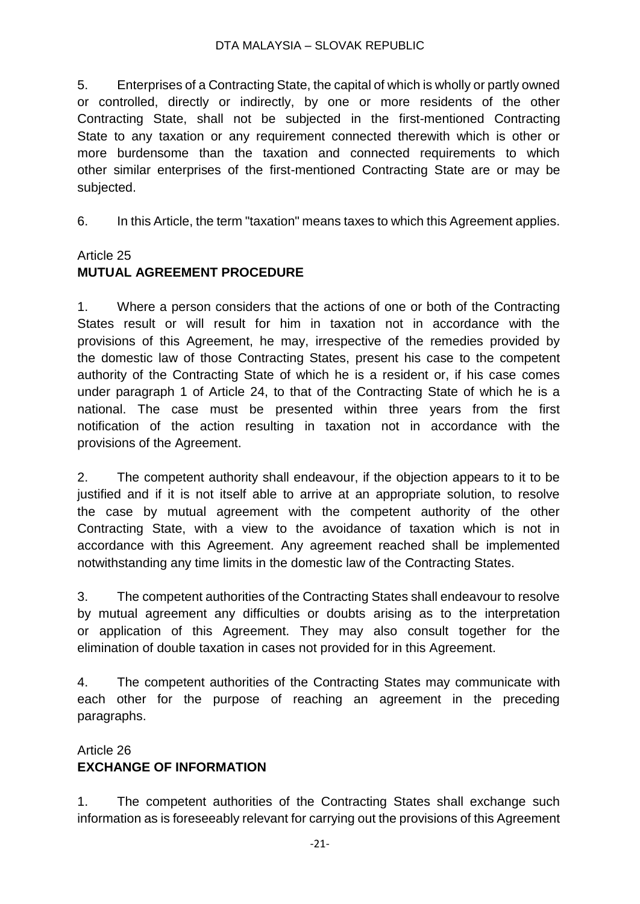#### DTA MALAYSIA – SLOVAK REPUBLIC

5. Enterprises of a Contracting State, the capital of which is wholly or partly owned or controlled, directly or indirectly, by one or more residents of the other Contracting State, shall not be subjected in the first-mentioned Contracting State to any taxation or any requirement connected therewith which is other or more burdensome than the taxation and connected requirements to which other similar enterprises of the first-mentioned Contracting State are or may be subjected.

6. In this Article, the term "taxation" means taxes to which this Agreement applies.

### Article 25

# **MUTUAL AGREEMENT PROCEDURE**

1. Where a person considers that the actions of one or both of the Contracting States result or will result for him in taxation not in accordance with the provisions of this Agreement, he may, irrespective of the remedies provided by the domestic law of those Contracting States, present his case to the competent authority of the Contracting State of which he is a resident or, if his case comes under paragraph 1 of Article 24, to that of the Contracting State of which he is a national. The case must be presented within three years from the first notification of the action resulting in taxation not in accordance with the provisions of the Agreement.

2. The competent authority shall endeavour, if the objection appears to it to be justified and if it is not itself able to arrive at an appropriate solution, to resolve the case by mutual agreement with the competent authority of the other Contracting State, with a view to the avoidance of taxation which is not in accordance with this Agreement. Any agreement reached shall be implemented notwithstanding any time limits in the domestic law of the Contracting States.

3. The competent authorities of the Contracting States shall endeavour to resolve by mutual agreement any difficulties or doubts arising as to the interpretation or application of this Agreement. They may also consult together for the elimination of double taxation in cases not provided for in this Agreement.

4. The competent authorities of the Contracting States may communicate with each other for the purpose of reaching an agreement in the preceding paragraphs.

# Article 26 **EXCHANGE OF INFORMATION**

1. The competent authorities of the Contracting States shall exchange such information as is foreseeably relevant for carrying out the provisions of this Agreement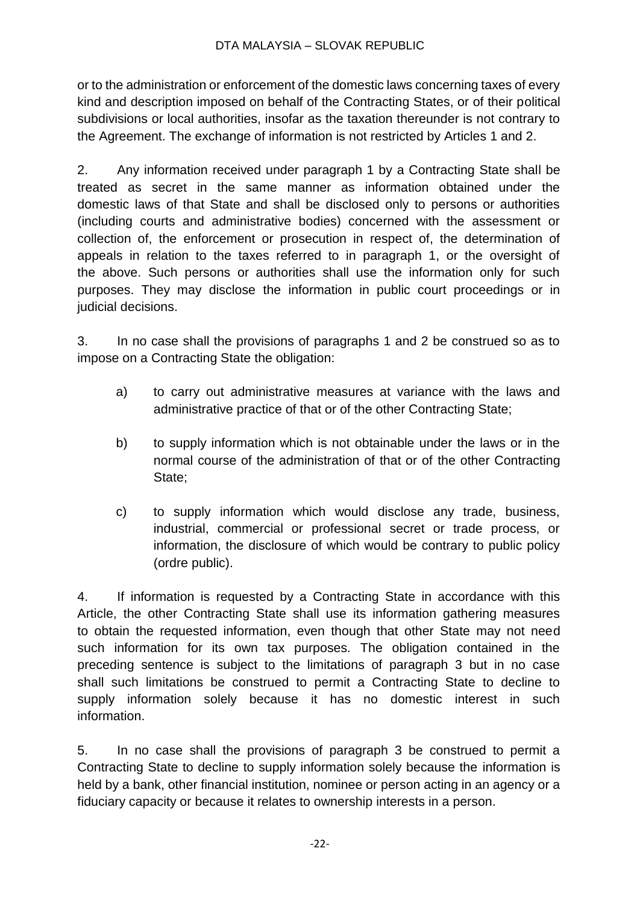or to the administration or enforcement of the domestic laws concerning taxes of every kind and description imposed on behalf of the Contracting States, or of their political subdivisions or local authorities, insofar as the taxation thereunder is not contrary to the Agreement. The exchange of information is not restricted by Articles 1 and 2.

2. Any information received under paragraph 1 by a Contracting State shall be treated as secret in the same manner as information obtained under the domestic laws of that State and shall be disclosed only to persons or authorities (including courts and administrative bodies) concerned with the assessment or collection of, the enforcement or prosecution in respect of, the determination of appeals in relation to the taxes referred to in paragraph 1, or the oversight of the above. Such persons or authorities shall use the information only for such purposes. They may disclose the information in public court proceedings or in judicial decisions.

3. In no case shall the provisions of paragraphs 1 and 2 be construed so as to impose on a Contracting State the obligation:

- a) to carry out administrative measures at variance with the laws and administrative practice of that or of the other Contracting State;
- b) to supply information which is not obtainable under the laws or in the normal course of the administration of that or of the other Contracting State;
- c) to supply information which would disclose any trade, business, industrial, commercial or professional secret or trade process, or information, the disclosure of which would be contrary to public policy (ordre public).

4. If information is requested by a Contracting State in accordance with this Article, the other Contracting State shall use its information gathering measures to obtain the requested information, even though that other State may not need such information for its own tax purposes. The obligation contained in the preceding sentence is subject to the limitations of paragraph 3 but in no case shall such limitations be construed to permit a Contracting State to decline to supply information solely because it has no domestic interest in such information.

5. In no case shall the provisions of paragraph 3 be construed to permit a Contracting State to decline to supply information solely because the information is held by a bank, other financial institution, nominee or person acting in an agency or a fiduciary capacity or because it relates to ownership interests in a person.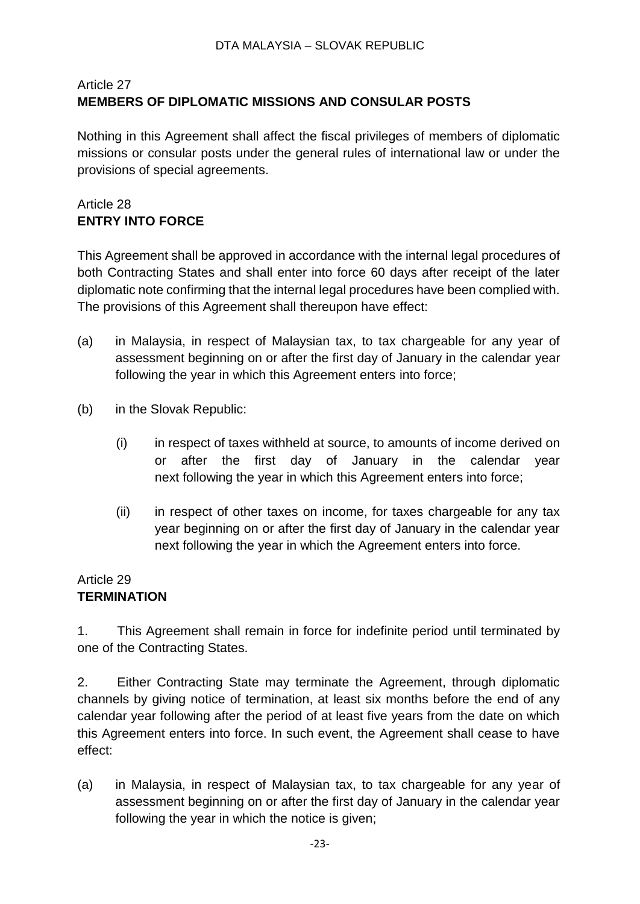## Article 27 **MEMBERS OF DIPLOMATIC MISSIONS AND CONSULAR POSTS**

Nothing in this Agreement shall affect the fiscal privileges of members of diplomatic missions or consular posts under the general rules of international law or under the provisions of special agreements.

# Article 28 **ENTRY INTO FORCE**

This Agreement shall be approved in accordance with the internal legal procedures of both Contracting States and shall enter into force 60 days after receipt of the later diplomatic note confirming that the internal legal procedures have been complied with. The provisions of this Agreement shall thereupon have effect:

- (a) in Malaysia, in respect of Malaysian tax, to tax chargeable for any year of assessment beginning on or after the first day of January in the calendar year following the year in which this Agreement enters into force;
- (b) in the Slovak Republic:
	- (i) in respect of taxes withheld at source, to amounts of income derived on or after the first day of January in the calendar year next following the year in which this Agreement enters into force;
	- (ii) in respect of other taxes on income, for taxes chargeable for any tax year beginning on or after the first day of January in the calendar year next following the year in which the Agreement enters into force.

#### Article 29 **TERMINATION**

1. This Agreement shall remain in force for indefinite period until terminated by one of the Contracting States.

2. Either Contracting State may terminate the Agreement, through diplomatic channels by giving notice of termination, at least six months before the end of any calendar year following after the period of at least five years from the date on which this Agreement enters into force. In such event, the Agreement shall cease to have effect:

(a) in Malaysia, in respect of Malaysian tax, to tax chargeable for any year of assessment beginning on or after the first day of January in the calendar year following the year in which the notice is given;